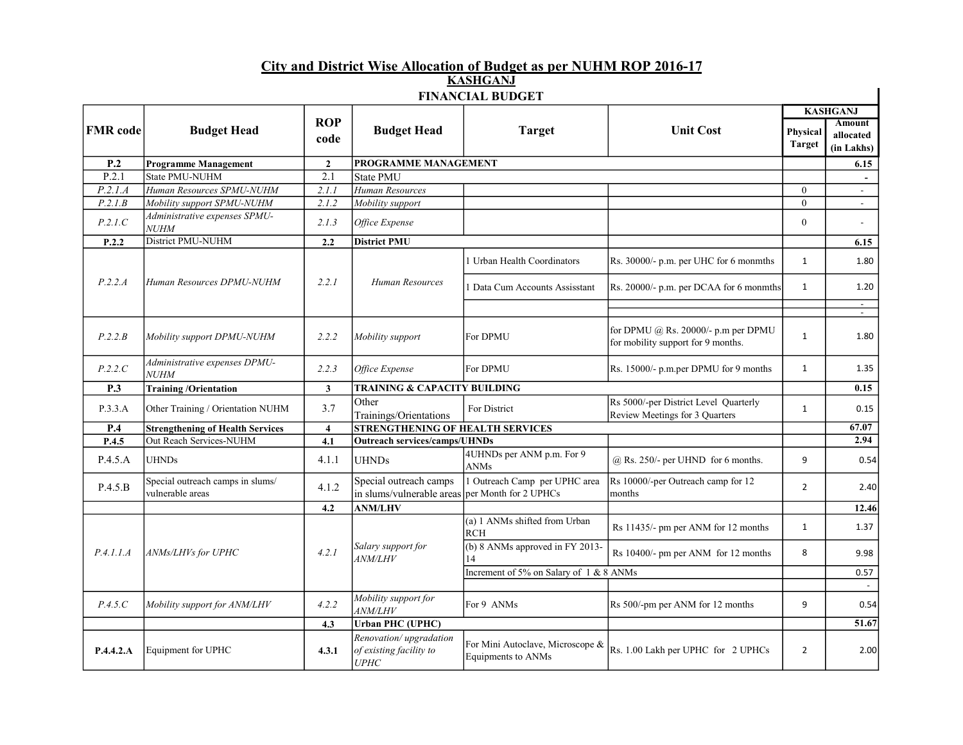## City and District Wise Allocation of Budget as per NUHM ROP 2016-17 KASHGANJ

| <b>FINANCIAL BUDGET</b> |                                                      |                         |                                                           |                                                        |                                                                           |                                  |                                          |  |
|-------------------------|------------------------------------------------------|-------------------------|-----------------------------------------------------------|--------------------------------------------------------|---------------------------------------------------------------------------|----------------------------------|------------------------------------------|--|
|                         | <b>Budget Head</b>                                   |                         | <b>Budget Head</b>                                        | <b>Target</b>                                          | <b>Unit Cost</b>                                                          |                                  | <b>KASHGANJ</b>                          |  |
| <b>FMR</b> code         |                                                      | <b>ROP</b><br>code      |                                                           |                                                        |                                                                           | <b>Physical</b><br><b>Target</b> | <b>Amount</b><br>allocated<br>(in Lakhs) |  |
| P.2                     | <b>Programme Management</b>                          | $\mathbf{2}$            | PROGRAMME MANAGEMENT                                      |                                                        |                                                                           |                                  | 6.15                                     |  |
| P.2.1                   | State PMU-NUHM                                       | 2.1                     | <b>State PMU</b>                                          |                                                        |                                                                           |                                  |                                          |  |
| P.2.1.A                 | Human Resources SPMU-NUHM                            | 2.1.1                   | Human Resources                                           |                                                        |                                                                           | $\mathbf{0}$                     | $\sim$                                   |  |
| P.2.1.B                 | Mobility support SPMU-NUHM                           | 2.1.2                   | Mobility support                                          |                                                        |                                                                           | $\mathbf{0}$                     | $\overline{\phantom{a}}$                 |  |
| P.2.1.C                 | Administrative expenses SPMU-<br><b>NUHM</b>         | 2.1.3                   | Office Expense                                            |                                                        |                                                                           | $\boldsymbol{0}$                 | $\blacksquare$                           |  |
| P.2.2                   | District PMU-NUHM                                    | 2.2                     | <b>District PMU</b>                                       |                                                        |                                                                           |                                  | 6.15                                     |  |
|                         | Human Resources DPMU-NUHM                            | 2.2.1                   | Human Resources                                           | 1 Urban Health Coordinators                            | Rs. 30000/- p.m. per UHC for 6 monmths                                    | $\mathbf{1}$                     | 1.80                                     |  |
| P.2.2.A                 |                                                      |                         |                                                           | Data Cum Accounts Assisstant                           | Rs. 20000/- p.m. per DCAA for 6 monmths                                   | $\mathbf{1}$                     | 1.20                                     |  |
|                         |                                                      |                         |                                                           |                                                        |                                                                           |                                  | $\sim$<br>$\sim$                         |  |
| P.2.2.B                 | Mobility support DPMU-NUHM                           | 2.2.2                   | Mobility support                                          | For DPMU                                               | for DPMU @ Rs. 20000/- p.m per DPMU<br>for mobility support for 9 months. | $\mathbf{1}$                     | 1.80                                     |  |
| P.2.2.C                 | Administrative expenses DPMU-<br><b>NUHM</b>         | 2.2.3                   | Office Expense                                            | For DPMU                                               | Rs. 15000/- p.m.per DPMU for 9 months                                     | $\mathbf{1}$                     | 1.35                                     |  |
| <b>P.3</b>              | <b>Training/Orientation</b>                          | 3 <sup>1</sup>          | TRAINING & CAPACITY BUILDING                              |                                                        |                                                                           |                                  | 0.15                                     |  |
| P.3.3.A                 | Other Training / Orientation NUHM                    | 3.7                     | Other<br>Trainings/Orientations                           | For District                                           | Rs 5000/-per District Level Quarterly<br>Review Meetings for 3 Quarters   | $\mathbf{1}$                     | 0.15                                     |  |
| P.4                     | <b>Strengthening of Health Services</b>              | $\overline{\mathbf{4}}$ | <b>STRENGTHENING OF HEALTH SERVICES</b>                   |                                                        |                                                                           |                                  | 67.07                                    |  |
| P.4.5                   | Out Reach Services-NUHM                              | 4.1                     | <b>Outreach services/camps/UHNDs</b>                      |                                                        |                                                                           |                                  | 2.94                                     |  |
| P.4.5.A                 | <b>UHNDs</b>                                         | 4.1.1                   | <b>UHNDs</b>                                              | 4UHNDs per ANM p.m. For 9<br>ANMs                      | @ Rs. 250/- per UHND for 6 months.                                        | 9                                | 0.54                                     |  |
| P.4.5.B                 | Special outreach camps in slums/<br>vulnerable areas | 4.1.2                   | Special outreach camps<br>in slums/vulnerable areas       | 1 Outreach Camp per UPHC area<br>per Month for 2 UPHCs | Rs 10000/-per Outreach camp for 12<br>months                              | $\overline{2}$                   | 2.40                                     |  |
|                         |                                                      | 4.2                     | <b>ANM/LHV</b>                                            |                                                        |                                                                           |                                  | 12.46                                    |  |
| P.4.1.1.A               | ANMs/LHVs for UPHC                                   | 4.2.1                   | Salary support for<br><i>ANM/LHV</i>                      | (a) 1 ANMs shifted from Urban<br>RCH                   | Rs 11435/- pm per ANM for 12 months                                       | $\mathbf{1}$                     | 1.37                                     |  |
|                         |                                                      |                         |                                                           | (b) 8 ANMs approved in FY 2013-<br>14                  | Rs 10400/- pm per ANM for 12 months                                       | 8                                | 9.98                                     |  |
|                         |                                                      |                         |                                                           | Increment of 5% on Salary of 1 & 8 ANMs                |                                                                           |                                  | 0.57                                     |  |
|                         |                                                      |                         | Mobility support for                                      |                                                        |                                                                           |                                  |                                          |  |
| P.4.5.C                 | Mobility support for ANM/LHV                         | 4.2.2                   | ANM/LHV                                                   | For 9 ANMs                                             | Rs 500/-pm per ANM for 12 months                                          | 9                                | 0.54                                     |  |
|                         |                                                      | 4.3                     | <b>Urban PHC (UPHC)</b>                                   |                                                        |                                                                           |                                  | 51.67                                    |  |
| P.4.4.2.A               | Equipment for UPHC                                   | 4.3.1                   | Renovation/upgradation<br>of existing facility to<br>UPHC | For Mini Autoclave, Microscope &<br>Equipments to ANMs | Rs. 1.00 Lakh per UPHC for 2 UPHCs                                        | $\overline{2}$                   | 2.00                                     |  |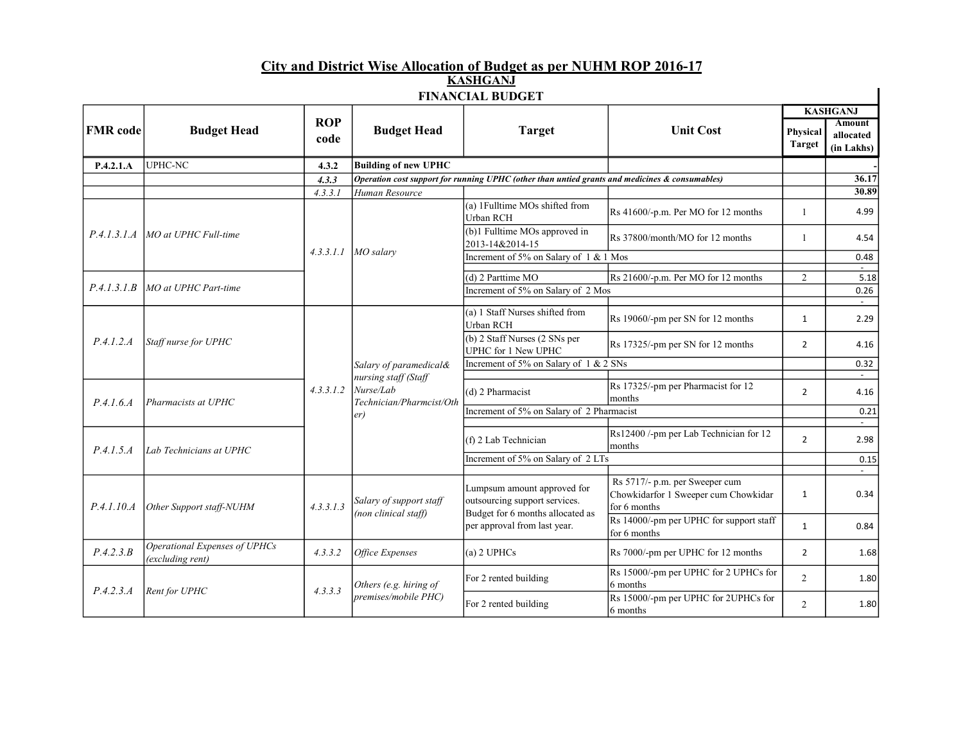## City and District Wise Allocation of Budget as per NUHM ROP 2016-17 KASHGANJ

| <b>FINANCIAL BUDGET</b> |                                                   |               |                                                                                                |                                                                                                                                  |                                                                                        |                           |                                  |
|-------------------------|---------------------------------------------------|---------------|------------------------------------------------------------------------------------------------|----------------------------------------------------------------------------------------------------------------------------------|----------------------------------------------------------------------------------------|---------------------------|----------------------------------|
| <b>FMR</b> code         | <b>Budget Head</b>                                | <b>ROP</b>    | <b>Budget Head</b>                                                                             | <b>Target</b>                                                                                                                    | <b>Unit Cost</b>                                                                       |                           | <b>KASHGANJ</b><br><b>Amount</b> |
|                         |                                                   | code          |                                                                                                |                                                                                                                                  |                                                                                        | Physical<br><b>Target</b> | allocated<br>(in Lakhs)          |
| P.4.2.1.A               | <b>UPHC-NC</b>                                    | 4.3.2         | <b>Building of new UPHC</b>                                                                    |                                                                                                                                  |                                                                                        |                           |                                  |
|                         |                                                   | 4.3.3         |                                                                                                | Operation cost support for running UPHC (other than untied grants and medicines & consumables)                                   |                                                                                        |                           | 36.17                            |
|                         |                                                   | 4.3.3.1       | Human Resource                                                                                 |                                                                                                                                  |                                                                                        |                           | 30.89                            |
|                         | MO at UPHC Full-time                              |               | $MO$ salary                                                                                    | (a) 1Fulltime MOs shifted from<br>Urban RCH                                                                                      | Rs 41600/-p.m. Per MO for 12 months                                                    | $\mathbf{1}$              | 4.99                             |
| P.4.1.3.1.A             |                                                   |               |                                                                                                | (b)1 Fulltime MOs approved in<br>2013-14&2014-15                                                                                 | Rs 37800/month/MO for 12 months                                                        | $\mathbf{1}$              | 4.54                             |
|                         |                                                   | 4.3.3.1.1     |                                                                                                | Increment of 5% on Salary of 1 & 1 Mos                                                                                           |                                                                                        |                           | 0.48                             |
|                         |                                                   |               |                                                                                                | (d) 2 Parttime MO                                                                                                                | Rs 21600/-p.m. Per MO for 12 months                                                    | $\overline{2}$            | $\sim$<br>5.18                   |
| P.4.1.3.1.B             | MO at UPHC Part-time                              |               |                                                                                                | Increment of 5% on Salary of 2 Mos                                                                                               |                                                                                        |                           | 0.26                             |
|                         |                                                   |               |                                                                                                |                                                                                                                                  |                                                                                        |                           |                                  |
| P.4.1.2.4               | Staff nurse for UPHC<br>Pharmacists at UPHC       |               | Salary of paramedical&<br>nursing staff (Staff<br>Nurse/Lab<br>Technician/Pharmcist/Oth<br>er) | (a) 1 Staff Nurses shifted from<br><b>Urban RCH</b>                                                                              | Rs 19060/-pm per SN for 12 months                                                      | $\mathbf{1}$              | 2.29                             |
|                         |                                                   |               |                                                                                                | (b) 2 Staff Nurses (2 SNs per<br>UPHC for 1 New UPHC                                                                             | Rs 17325/-pm per SN for 12 months                                                      | $\overline{2}$            | 4.16                             |
|                         |                                                   |               |                                                                                                | Increment of 5% on Salary of 1 & 2 SNs                                                                                           |                                                                                        |                           | 0.32                             |
|                         |                                                   |               |                                                                                                |                                                                                                                                  |                                                                                        |                           | $\sim$                           |
| P.4.1.6.4               |                                                   | 4, 3, 3, 1, 2 |                                                                                                | (d) 2 Pharmacist                                                                                                                 | Rs 17325/-pm per Pharmacist for 12<br>months                                           | $\overline{2}$            | 4.16                             |
|                         |                                                   |               |                                                                                                | Increment of 5% on Salary of 2 Pharmacist                                                                                        |                                                                                        |                           | 0.21                             |
| P.4.1.5.4               | Lab Technicians at UPHC                           |               |                                                                                                | (f) 2 Lab Technician                                                                                                             | Rs12400 /-pm per Lab Technician for 12<br>months                                       | $\overline{2}$            | $\sim$<br>2.98                   |
|                         |                                                   |               |                                                                                                | Increment of 5% on Salary of 2 LTs                                                                                               |                                                                                        |                           | 0.15                             |
|                         |                                                   |               |                                                                                                |                                                                                                                                  |                                                                                        |                           | $\sim$                           |
| P.4.1.10.4              | Other Support staff-NUHM                          | 4.3.3.1.3     | Salary of support staff<br>(non clinical staff)                                                | Lumpsum amount approved for<br>outsourcing support services.<br>Budget for 6 months allocated as<br>per approval from last year. | Rs 5717/- p.m. per Sweeper cum<br>Chowkidarfor 1 Sweeper cum Chowkidar<br>for 6 months | $\mathbf{1}$              | 0.34                             |
|                         |                                                   |               |                                                                                                |                                                                                                                                  | Rs 14000/-pm per UPHC for support staff<br>for 6 months                                | 1                         | 0.84                             |
| P.4.2.3.B               | Operational Expenses of UPHCs<br>(excluding rent) | 4.3.3.2       | Office Expenses                                                                                | $(a)$ 2 UPHCs                                                                                                                    | Rs 7000/-pm per UPHC for 12 months                                                     | $\overline{2}$            | 1.68                             |
| P.4.2.3.A               | Rent for UPHC                                     | 4.3.3.3       | Others (e.g. hiring of<br>premises/mobile PHC)                                                 | For 2 rented building                                                                                                            | Rs 15000/-pm per UPHC for 2 UPHCs for<br>6 months                                      | $\overline{2}$            | 1.80                             |
|                         |                                                   |               |                                                                                                | For 2 rented building                                                                                                            | Rs 15000/-pm per UPHC for 2UPHCs for<br>6 months                                       | $\overline{2}$            | 1.80                             |